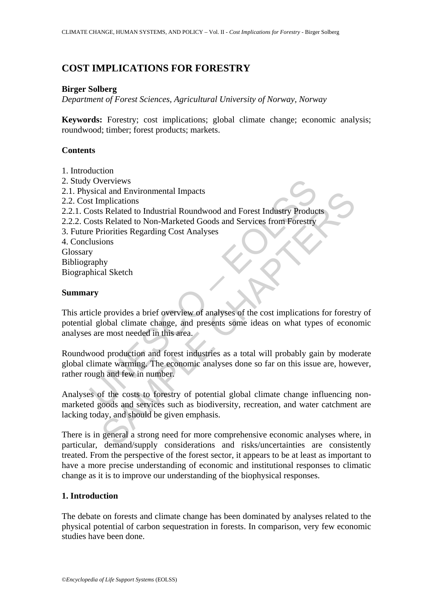# **COST IMPLICATIONS FOR FORESTRY**

#### **Birger Solberg**

*Department of Forest Sciences, Agricultural University of Norway, Norway* 

**Keywords:** Forestry; cost implications; global climate change; economic analysis; roundwood; timber; forest products; markets.

#### **Contents**

- 1. Introduction
- 2. Study Overviews
- 2.1. Physical and Environmental Impacts
- 2.2. Cost Implications
- 2.2.1. Costs Related to Industrial Roundwood and Forest Industry Products
- 2.2.2. Costs Related to Non-Marketed Goods and Services from Forestry
- 3. Future Priorities Regarding Cost Analyses
- 4. Conclusions
- Glossary
- Bibliography Biographical Sketch

#### **Summary**

Coverviews<br>
Siscal and Environmental Impacts<br>
El Implications<br>
Instead to Mon-Marketed Goods and Services from Porestry<br>
Productions<br>
Sosts Related to Non-Marketed Goods and Services from Porestry<br>
Priorities Regarding Cos and Environmental impacts<br>
and Environmental impacts<br>
s Related to Industrial Roundwood and Forest Industry Products<br>
S Related to Non-Marketed Goods and Services from Forestry<br>
ironities Regarding Cost Analyses<br>
oions<br>
by This article provides a brief overview of analyses of the cost implications for forestry of potential global climate change, and presents some ideas on what types of economic analyses are most needed in this area.

Roundwood production and forest industries as a total will probably gain by moderate global climate warming. The economic analyses done so far on this issue are, however, rather rough and few in number.

Analyses of the costs to forestry of potential global climate change influencing nonmarketed goods and services such as biodiversity, recreation, and water catchment are lacking today, and should be given emphasis.

There is in general a strong need for more comprehensive economic analyses where, in particular, demand/supply considerations and risks/uncertainties are consistently treated. From the perspective of the forest sector, it appears to be at least as important to have a more precise understanding of economic and institutional responses to climatic change as it is to improve our understanding of the biophysical responses.

#### **1. Introduction**

The debate on forests and climate change has been dominated by analyses related to the physical potential of carbon sequestration in forests. In comparison, very few economic studies have been done.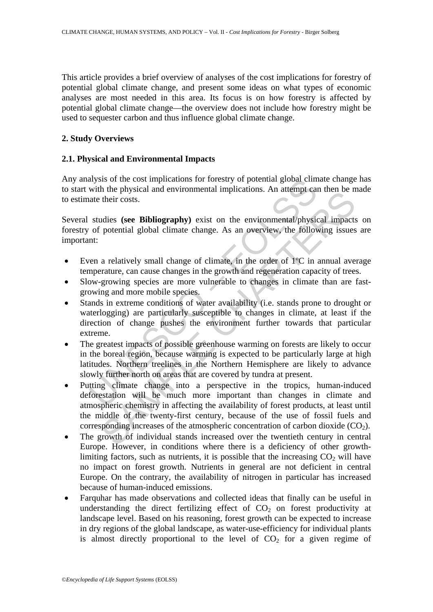This article provides a brief overview of analyses of the cost implications for forestry of potential global climate change, and present some ideas on what types of economic analyses are most needed in this area. Its focus is on how forestry is affected by potential global climate change—the overview does not include how forestry might be used to sequester carbon and thus influence global climate change.

### **2. Study Overviews**

## **2.1. Physical and Environmental Impacts**

Any analysis of the cost implications for forestry of potential global climate change has to start with the physical and environmental implications. An attempt can then be made to estimate their costs.

Several studies **(see Bibliography)** exist on the environmental/physical impacts on forestry of potential global climate change. As an overview, the following issues are important:

- Even a relatively small change of climate, in the order of 1ºC in annual average temperature, can cause changes in the growth and regeneration capacity of trees.
- Slow-growing species are more vulnerable to changes in climate than are fastgrowing and more mobile species.
- alysis of the cost implications for forestry of potential global clim<br>with the physical and environmental implications. An attempt can<br>ate their costs.<br>studies (see Bibliography) exist on the environmental/physic<br>of potent • Stands in extreme conditions of water availability (i.e. stands prone to drought or waterlogging) are particularly susceptible to changes in climate, at least if the direction of change pushes the environment further towards that particular extreme.
- The greatest impacts of possible greenhouse warming on forests are likely to occur in the boreal region, because warming is expected to be particularly large at high latitudes. Northern treelines in the Northern Hemisphere are likely to advance slowly further north on areas that are covered by tundra at present.
- In the physical and environmental impincations. An attempt can their costs,<br>their costs.<br>dies (see Bibliography) exist on the environmental/physical impacts<br>potential global climate change. As an overview, the following is • Putting climate change into a perspective in the tropics, human-induced deforestation will be much more important than changes in climate and atmospheric chemistry in affecting the availability of forest products, at least until the middle of the twenty-first century, because of the use of fossil fuels and corresponding increases of the atmospheric concentration of carbon dioxide  $(CO_2)$ .
- The growth of individual stands increased over the twentieth century in central Europe. However, in conditions where there is a deficiency of other growthlimiting factors, such as nutrients, it is possible that the increasing  $CO<sub>2</sub>$  will have no impact on forest growth. Nutrients in general are not deficient in central Europe. On the contrary, the availability of nitrogen in particular has increased because of human-induced emissions.
- Farquhar has made observations and collected ideas that finally can be useful in understanding the direct fertilizing effect of  $CO<sub>2</sub>$  on forest productivity at landscape level. Based on his reasoning, forest growth can be expected to increase in dry regions of the global landscape, as water-use-efficiency for individual plants is almost directly proportional to the level of  $CO<sub>2</sub>$  for a given regime of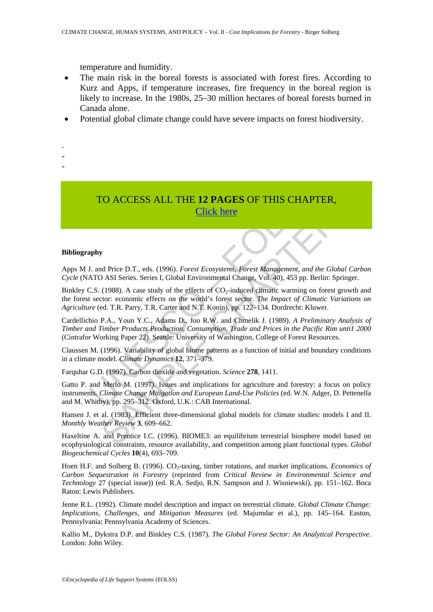temperature and humidity.

- The main risk in the boreal forests is associated with forest fires. According to Kurz and Apps, if temperature increases, fire frequency in the boreal region is likely to increase. In the 1980s, 25–30 million hectares of boreal forests burned in Canada alone.
- Potential global climate change could have severe impacts on forest biodiversity.
- -
- -
- -
- TO ACCESS ALL THE **12 PAGES** OF THIS CHAPTER, Click here

#### **Bibliography**

Apps M J. and Price D.T., eds. (1996). *Forest Ecosystems, Forest Management, and the Global Carbon Cycle* (NATO ASI Series. Series I, Global Environmental Change, Vol. 40), 453 pp. Berlin: Springer.

Binkley C.S. (1988). A case study of the effects of  $CO<sub>2</sub>$ -induced climatic warming on forest growth and the forest sector: economic effects on the world's forest sector. *The Impact of Climatic Variations on Agriculture* (ed. T.R. Parry, T.R. Carter and N.T. Konin), pp. 122–134. Dordrecht: Kluwer.

Cardellichio P.A., Youn Y.C., Adams D., Joo R.W. and Chmelik J. (1989). *A Preliminary Analysis of Timber and Timber Products Production, Consumption, Trade and Prices in the Pacific Rim unti1 2000* (Cintrafor Working Paper 22). Seattle: University of Washington, College of Forest Resources.

Claussen M. (1996). Variability of global biome patterns as a function of initial and boundary conditions in a climate model. *Climate Dynamics* **12**, 371–379.

Farquhar G.D. (1997). Carbon dioxide and vegetation. *Science* **278**, 1411.

TO ACCESS ALL THE 12 PAGES OF THIS CHAPT<br>
Click here<br>
U. and Price D.T., eds. (1996). *Forest Ecosystems*, *Forest Management, and that* O ASI Series. Series I, Global Environmental Change, Vol. 40), 453 pp. Be C.S. (1988) **FORMALL THE 12 PAGES OF THIS CHAPTER,**<br> **Click here**<br> **Click here**<br> **Click here**<br> **Click here**<br> **Click here**<br> **Click here**<br> **Click here**<br> **Click here**<br> **Click here**<br> **Click here**<br> **Click here**<br> **Click here**<br> **Click is th** Gatto P. and Merlo M. (1997). Issues and implications for agriculture and forestry: a focus on policy instruments. *Climate Change Mitigation and European Land-Use Policies* (ed. W.N. Adger, D. Pettenella and M. Whitby), pp. 295–312. Oxford, U.K.: CAB International.

Hansen J. et al. (1983). Efficient three-dimensional global models for climate studies: models I and II. *Monthly Weather Review* **3**, 609–662.

Haxeltine A. and Prentice I.C. (1996). BIOME3: an equilibrium terrestrial biosphere model based on ecophysiological constraints, resource availability, and competition among plant functional types. *Global Biogeochemical Cycles* **10**(4), 693–709.

Hoen H.F. and Solberg B. (1996). CO<sub>2</sub>-taxing, timber rotations, and market implications. *Economics of Carbon Sequestration in Forestry* (reprinted from *Critical Review in Environmental Science and Technology* 27 (special issue)) (ed. R.A. Sedjo, R.N. Sampson and J. Wisniewski), pp. 151–162. Boca Raton: Lewis Publishers.

Jenne R.L. (1992). Climate model description and impact on terrestrial climate. *Global Climate Change: Implications, Challenges, and Mitigation Measures* (ed. Majumdar et al.), pp. 145–164. Easton, Pennsylvania: Pennsylvania Academy of Sciences.

Kallio M., Dykstra D.P. and Binkley C.S. (1987). *The Global Forest Sector: An Analytical Perspective*. London: John Wiley.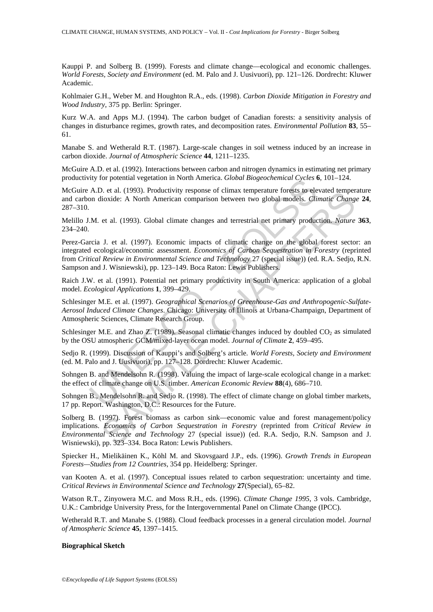Kauppi P. and Solberg B. (1999). Forests and climate change—ecological and economic challenges. *World Forests, Society and Environment* (ed. M. Palo and J. Uusivuori), pp. 121–126. Dordrecht: Kluwer Academic.

Kohlmaier G.H., Weber M. and Houghton R.A., eds. (1998). *Carbon Dioxide Mitigation in Forestry and Wood Industry*, 375 pp. Berlin: Springer.

Kurz W.A. and Apps M.J. (1994). The carbon budget of Canadian forests: a sensitivity analysis of changes in disturbance regimes, growth rates, and decomposition rates. *Environmental Pollution* **83**, 55– 61.

Manabe S. and Wetherald R.T. (1987). Large-scale changes in soil wetness induced by an increase in carbon dioxide. *Journal of Atmospheric Science* **44**, 1211–1235.

McGuire A.D. et al. (1992). Interactions between carbon and nitrogen dynamics in estimating net primary productivity for potential vegetation in North America. *Global Biogeochemical Cycles* **6**, 101–124.

McGuire A.D. et al. (1993). Productivity response of climax temperature forests to elevated temperature and carbon dioxide: A North American comparison between two global models. *Climatic Change* **24**, 287–310.

Melillo J.M. et al. (1993). Global climate changes and terrestrial net primary production. *Nature* **363**, 234–240.

In the state of the Research Group.<br>
A.D. et al. (1993). Productivity response of climax temperature forests to elect<br>
A.D. et al. (1993). Grobal climate changes and terrestrial net primary produce<br>
I.M. et al. (1993). Glo 3. et al. (1995). Productivity response or climax temperature forests to evevate then the<br>since: A North American comparison between two global models. *Climatic Change*<br>tickie: A North American comparison between two glo Perez-Garcia J. et al. (1997). Economic impacts of climatic change on the global forest sector: an integrated ecological/economic assessment. *Economics of Carbon Sequestration in Forestry* (reprinted from *Critical Review in Environmental Science and Technology* 27 (special issue)) (ed. R.A. Sedjo, R.N. Sampson and J. Wisniewski), pp. 123–149. Boca Raton: Lewis Publishers.

Raich J.W. et al. (1991). Potential net primary productivity in South America: application of a global model. *Ecological Applications* **1**, 399–429.

Schlesinger M.E. et al. (1997). *Geographical Scenarios of Greenhouse-Gas and Anthropogenic-Sulfate-Aerosol Induced Climate Changes*. Chicago: University of Illinois at Urbana-Champaign, Department of Atmospheric Sciences, Climate Research Group.

Schlesinger M.E. and Zhao Z. (1989). Seasonal climatic changes induced by doubled  $CO_2$  as simulated by the OSU atmospheric GCM/mixed-layer ocean model. *Journal of Climate* **2**, 459–495.

Sedjo R. (1999). Discussion of Kauppi's and Solberg's article. *World Forests, Society and Environment* (ed. M. Palo and J. Uusivuori), pp. 127–128. Dordrecht: Kluwer Academic.

Sohngen B. and Mendelsohn R. (1998). Valuing the impact of large-scale ecological change in a market: the effect of climate change on U.S. timber. *American Economic Review* **88**(4), 686–710.

Sohngen B., Mendelsohn R. and Sedjo R. (1998). The effect of climate change on global timber markets, 17 pp. Report. Washington, D.C.: Resources for the Future.

Solberg B. (1997). Forest biomass as carbon sink—economic value and forest management/policy implications. *Economics of Carbon Sequestration in Forestry* (reprinted from *Critical Review in Environmental Science and Technology* 27 (special issue)) (ed. R.A. Sedjo, R.N. Sampson and J. Wisniewski), pp. 323–334. Boca Raton: Lewis Publishers.

Spiecker H., Mielikäinen K., Köhl M. and Skovsgaard J.P., eds. (1996). *Growth Trends in European Forests—Studies from 12 Countries*, 354 pp. Heidelberg: Springer.

van Kooten A. et al. (1997). Conceptual issues related to carbon sequestration: uncertainty and time. *Critical Reviews in Environmental Science and Technology* **27**(Special), 65–82.

Watson R.T., Zinyowera M.C. and Moss R.H., eds. (1996). *Climate Change 1995*, 3 vols. Cambridge, U.K.: Cambridge University Press, for the Intergovernmental Panel on Climate Change (IPCC).

Wetherald R.T. and Manabe S. (1988). Cloud feedback processes in a general circulation model. *Journal of Atmospheric Science* **45**, 1397–1415.

#### **Biographical Sketch**